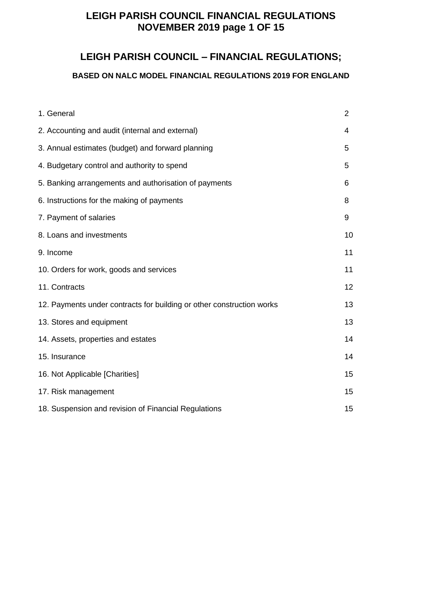# **LEIGH PARISH COUNCIL FINANCIAL REGULATIONS NOVEMBER 2019 page 1 OF 15**

### **LEIGH PARISH COUNCIL – FINANCIAL REGULATIONS;**

### **BASED ON NALC MODEL FINANCIAL REGULATIONS 2019 FOR ENGLAND**

| 1. General                                                            | $\overline{2}$ |
|-----------------------------------------------------------------------|----------------|
| 2. Accounting and audit (internal and external)                       | 4              |
| 3. Annual estimates (budget) and forward planning                     | 5              |
| 4. Budgetary control and authority to spend                           | 5              |
| 5. Banking arrangements and authorisation of payments                 | 6              |
| 6. Instructions for the making of payments                            | 8              |
| 7. Payment of salaries                                                | 9              |
| 8. Loans and investments                                              | 10             |
| 9. Income                                                             | 11             |
| 10. Orders for work, goods and services                               | 11             |
| 11. Contracts                                                         | 12             |
| 12. Payments under contracts for building or other construction works | 13             |
| 13. Stores and equipment                                              | 13             |
| 14. Assets, properties and estates                                    | 14             |
| 15. Insurance                                                         | 14             |
| 16. Not Applicable [Charities]                                        | 15             |
| 17. Risk management                                                   | 15             |
| 18. Suspension and revision of Financial Regulations                  | 15             |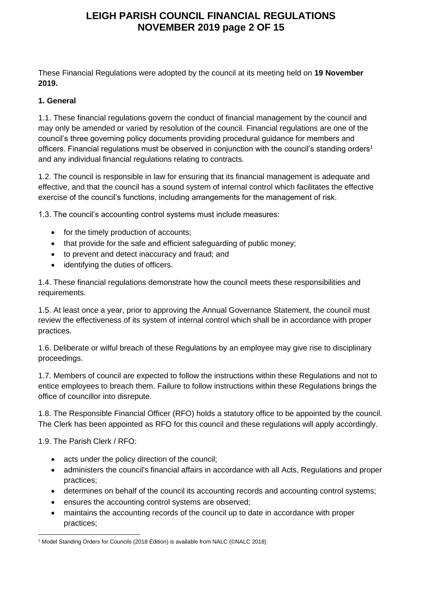# **LEIGH PARISH COUNCIL FINANCIAL REGULATIONS NOVEMBER 2019 page 2 OF 15**

These Financial Regulations were adopted by the council at its meeting held on **19 November 2019.**

#### **1. General**

1.1. These financial regulations govern the conduct of financial management by the council and may only be amended or varied by resolution of the council. Financial regulations are one of the council's three governing policy documents providing procedural guidance for members and officers. Financial regulations must be observed in conjunction with the council's standing orders<sup>1</sup> and any individual financial regulations relating to contracts.

1.2. The council is responsible in law for ensuring that its financial management is adequate and effective, and that the council has a sound system of internal control which facilitates the effective exercise of the council's functions, including arrangements for the management of risk.

1.3. The council's accounting control systems must include measures:

- for the timely production of accounts;
- that provide for the safe and efficient safeguarding of public money;
- to prevent and detect inaccuracy and fraud; and
- identifying the duties of officers.

1.4. These financial regulations demonstrate how the council meets these responsibilities and requirements.

1.5. At least once a year, prior to approving the Annual Governance Statement, the council must review the effectiveness of its system of internal control which shall be in accordance with proper practices.

1.6. Deliberate or wilful breach of these Regulations by an employee may give rise to disciplinary proceedings.

1.7. Members of council are expected to follow the instructions within these Regulations and not to entice employees to breach them. Failure to follow instructions within these Regulations brings the office of councillor into disrepute.

1.8. The Responsible Financial Officer (RFO) holds a statutory office to be appointed by the council. The Clerk has been appointed as RFO for this council and these regulations will apply accordingly.

1.9. The Parish Clerk / RFO:

- acts under the policy direction of the council;
- administers the council's financial affairs in accordance with all Acts, Regulations and proper practices;
- determines on behalf of the council its accounting records and accounting control systems;
- ensures the accounting control systems are observed;
- maintains the accounting records of the council up to date in accordance with proper practices;

<sup>&</sup>lt;sup>1</sup> Model Standing Orders for Councils (2018 Edition) is available from NALC (©NALC 2018)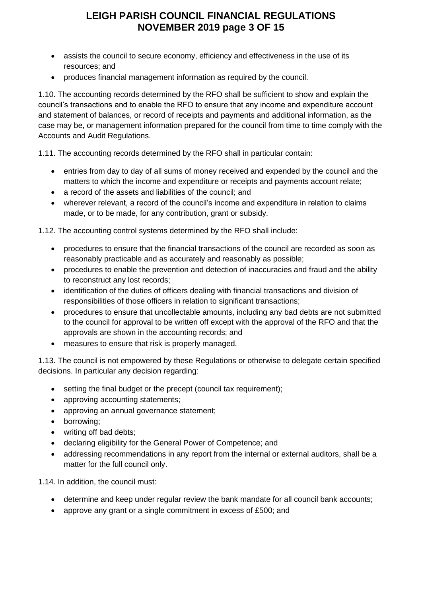# **LEIGH PARISH COUNCIL FINANCIAL REGULATIONS NOVEMBER 2019 page 3 OF 15**

- assists the council to secure economy, efficiency and effectiveness in the use of its resources; and
- produces financial management information as required by the council.

1.10. The accounting records determined by the RFO shall be sufficient to show and explain the council's transactions and to enable the RFO to ensure that any income and expenditure account and statement of balances, or record of receipts and payments and additional information, as the case may be, or management information prepared for the council from time to time comply with the Accounts and Audit Regulations.

1.11. The accounting records determined by the RFO shall in particular contain:

- entries from day to day of all sums of money received and expended by the council and the matters to which the income and expenditure or receipts and payments account relate;
- a record of the assets and liabilities of the council; and
- wherever relevant, a record of the council's income and expenditure in relation to claims made, or to be made, for any contribution, grant or subsidy.

1.12. The accounting control systems determined by the RFO shall include:

- procedures to ensure that the financial transactions of the council are recorded as soon as reasonably practicable and as accurately and reasonably as possible;
- procedures to enable the prevention and detection of inaccuracies and fraud and the ability to reconstruct any lost records;
- identification of the duties of officers dealing with financial transactions and division of responsibilities of those officers in relation to significant transactions;
- procedures to ensure that uncollectable amounts, including any bad debts are not submitted to the council for approval to be written off except with the approval of the RFO and that the approvals are shown in the accounting records; and
- measures to ensure that risk is properly managed.

1.13. The council is not empowered by these Regulations or otherwise to delegate certain specified decisions. In particular any decision regarding:

- setting the final budget or the precept (council tax requirement);
- approving accounting statements;
- approving an annual governance statement;
- borrowing;
- writing off bad debts;
- declaring eligibility for the General Power of Competence; and
- addressing recommendations in any report from the internal or external auditors, shall be a matter for the full council only.

1.14. In addition, the council must:

- determine and keep under regular review the bank mandate for all council bank accounts;
- approve any grant or a single commitment in excess of £500; and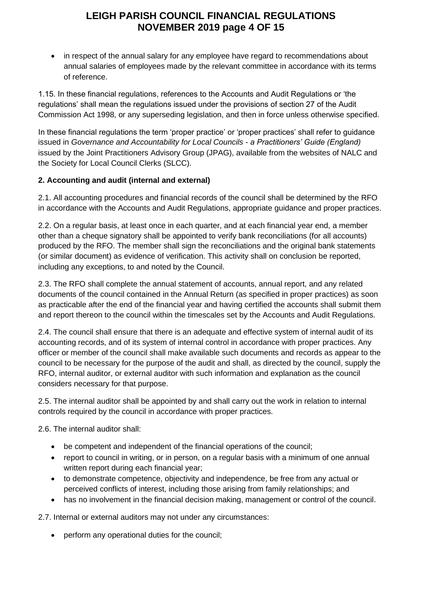# **LEIGH PARISH COUNCIL FINANCIAL REGULATIONS NOVEMBER 2019 page 4 OF 15**

• in respect of the annual salary for any employee have regard to recommendations about annual salaries of employees made by the relevant committee in accordance with its terms of reference.

1.15. In these financial regulations, references to the Accounts and Audit Regulations or 'the regulations' shall mean the regulations issued under the provisions of section 27 of the Audit Commission Act 1998, or any superseding legislation, and then in force unless otherwise specified.

In these financial regulations the term 'proper practice' or 'proper practices' shall refer to guidance issued in *Governance and Accountability for Local Councils - a Practitioners' Guide (England)* issued by the Joint Practitioners Advisory Group (JPAG), available from the websites of NALC and the Society for Local Council Clerks (SLCC).

#### **2. Accounting and audit (internal and external)**

2.1. All accounting procedures and financial records of the council shall be determined by the RFO in accordance with the Accounts and Audit Regulations, appropriate guidance and proper practices.

2.2. On a regular basis, at least once in each quarter, and at each financial year end, a member other than a cheque signatory shall be appointed to verify bank reconciliations (for all accounts) produced by the RFO. The member shall sign the reconciliations and the original bank statements (or similar document) as evidence of verification. This activity shall on conclusion be reported, including any exceptions, to and noted by the Council.

2.3. The RFO shall complete the annual statement of accounts, annual report, and any related documents of the council contained in the Annual Return (as specified in proper practices) as soon as practicable after the end of the financial year and having certified the accounts shall submit them and report thereon to the council within the timescales set by the Accounts and Audit Regulations.

2.4. The council shall ensure that there is an adequate and effective system of internal audit of its accounting records, and of its system of internal control in accordance with proper practices. Any officer or member of the council shall make available such documents and records as appear to the council to be necessary for the purpose of the audit and shall, as directed by the council, supply the RFO, internal auditor, or external auditor with such information and explanation as the council considers necessary for that purpose.

2.5. The internal auditor shall be appointed by and shall carry out the work in relation to internal controls required by the council in accordance with proper practices.

2.6. The internal auditor shall:

- be competent and independent of the financial operations of the council;
- report to council in writing, or in person, on a regular basis with a minimum of one annual written report during each financial year;
- to demonstrate competence, objectivity and independence, be free from any actual or perceived conflicts of interest, including those arising from family relationships; and
- has no involvement in the financial decision making, management or control of the council.

2.7. Internal or external auditors may not under any circumstances:

• perform any operational duties for the council;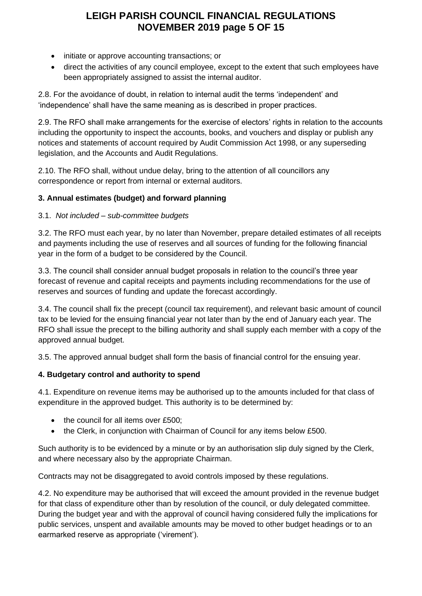# **LEIGH PARISH COUNCIL FINANCIAL REGULATIONS NOVEMBER 2019 page 5 OF 15**

- initiate or approve accounting transactions; or
- direct the activities of any council employee, except to the extent that such employees have been appropriately assigned to assist the internal auditor.

2.8. For the avoidance of doubt, in relation to internal audit the terms 'independent' and 'independence' shall have the same meaning as is described in proper practices.

2.9. The RFO shall make arrangements for the exercise of electors' rights in relation to the accounts including the opportunity to inspect the accounts, books, and vouchers and display or publish any notices and statements of account required by Audit Commission Act 1998, or any superseding legislation, and the Accounts and Audit Regulations.

2.10. The RFO shall, without undue delay, bring to the attention of all councillors any correspondence or report from internal or external auditors.

### **3. Annual estimates (budget) and forward planning**

#### 3.1. *Not included – sub-committee budgets*

3.2. The RFO must each year, by no later than November, prepare detailed estimates of all receipts and payments including the use of reserves and all sources of funding for the following financial year in the form of a budget to be considered by the Council.

3.3. The council shall consider annual budget proposals in relation to the council's three year forecast of revenue and capital receipts and payments including recommendations for the use of reserves and sources of funding and update the forecast accordingly.

3.4. The council shall fix the precept (council tax requirement), and relevant basic amount of council tax to be levied for the ensuing financial year not later than by the end of January each year. The RFO shall issue the precept to the billing authority and shall supply each member with a copy of the approved annual budget.

3.5. The approved annual budget shall form the basis of financial control for the ensuing year.

#### **4. Budgetary control and authority to spend**

4.1. Expenditure on revenue items may be authorised up to the amounts included for that class of expenditure in the approved budget. This authority is to be determined by:

- the council for all items over £500;
- the Clerk, in conjunction with Chairman of Council for any items below £500.

Such authority is to be evidenced by a minute or by an authorisation slip duly signed by the Clerk, and where necessary also by the appropriate Chairman.

Contracts may not be disaggregated to avoid controls imposed by these regulations.

4.2. No expenditure may be authorised that will exceed the amount provided in the revenue budget for that class of expenditure other than by resolution of the council, or duly delegated committee. During the budget year and with the approval of council having considered fully the implications for public services, unspent and available amounts may be moved to other budget headings or to an earmarked reserve as appropriate ('virement').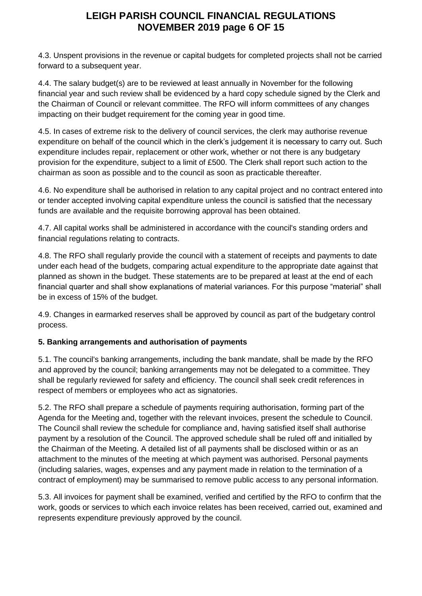### **LEIGH PARISH COUNCIL FINANCIAL REGULATIONS NOVEMBER 2019 page 6 OF 15**

4.3. Unspent provisions in the revenue or capital budgets for completed projects shall not be carried forward to a subsequent year.

4.4. The salary budget(s) are to be reviewed at least annually in November for the following financial year and such review shall be evidenced by a hard copy schedule signed by the Clerk and the Chairman of Council or relevant committee. The RFO will inform committees of any changes impacting on their budget requirement for the coming year in good time.

4.5. In cases of extreme risk to the delivery of council services, the clerk may authorise revenue expenditure on behalf of the council which in the clerk's judgement it is necessary to carry out. Such expenditure includes repair, replacement or other work, whether or not there is any budgetary provision for the expenditure, subject to a limit of £500. The Clerk shall report such action to the chairman as soon as possible and to the council as soon as practicable thereafter.

4.6. No expenditure shall be authorised in relation to any capital project and no contract entered into or tender accepted involving capital expenditure unless the council is satisfied that the necessary funds are available and the requisite borrowing approval has been obtained.

4.7. All capital works shall be administered in accordance with the council's standing orders and financial regulations relating to contracts.

4.8. The RFO shall regularly provide the council with a statement of receipts and payments to date under each head of the budgets, comparing actual expenditure to the appropriate date against that planned as shown in the budget. These statements are to be prepared at least at the end of each financial quarter and shall show explanations of material variances. For this purpose "material" shall be in excess of 15% of the budget.

4.9. Changes in earmarked reserves shall be approved by council as part of the budgetary control process.

### **5. Banking arrangements and authorisation of payments**

5.1. The council's banking arrangements, including the bank mandate, shall be made by the RFO and approved by the council; banking arrangements may not be delegated to a committee. They shall be regularly reviewed for safety and efficiency. The council shall seek credit references in respect of members or employees who act as signatories.

5.2. The RFO shall prepare a schedule of payments requiring authorisation, forming part of the Agenda for the Meeting and, together with the relevant invoices, present the schedule to Council. The Council shall review the schedule for compliance and, having satisfied itself shall authorise payment by a resolution of the Council. The approved schedule shall be ruled off and initialled by the Chairman of the Meeting. A detailed list of all payments shall be disclosed within or as an attachment to the minutes of the meeting at which payment was authorised. Personal payments (including salaries, wages, expenses and any payment made in relation to the termination of a contract of employment) may be summarised to remove public access to any personal information.

5.3. All invoices for payment shall be examined, verified and certified by the RFO to confirm that the work, goods or services to which each invoice relates has been received, carried out, examined and represents expenditure previously approved by the council.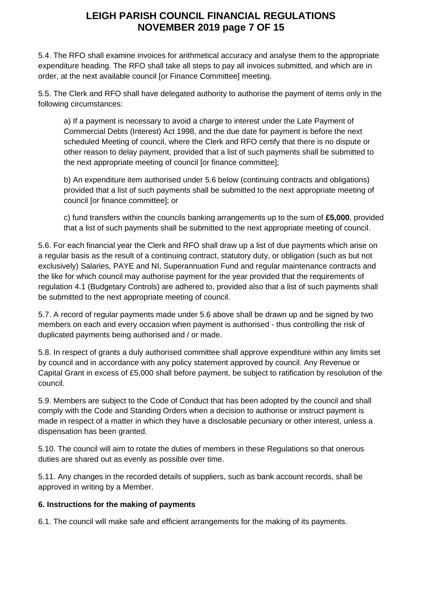## **LEIGH PARISH COUNCIL FINANCIAL REGULATIONS NOVEMBER 2019 page 7 OF 15**

5.4. The RFO shall examine invoices for arithmetical accuracy and analyse them to the appropriate expenditure heading. The RFO shall take all steps to pay all invoices submitted, and which are in order, at the next available council [or Finance Committee] meeting.

5.5. The Clerk and RFO shall have delegated authority to authorise the payment of items only in the following circumstances:

a) If a payment is necessary to avoid a charge to interest under the Late Payment of Commercial Debts (Interest) Act 1998, and the due date for payment is before the next scheduled Meeting of council, where the Clerk and RFO certify that there is no dispute or other reason to delay payment, provided that a list of such payments shall be submitted to the next appropriate meeting of council [or finance committee];

b) An expenditure item authorised under 5.6 below (continuing contracts and obligations) provided that a list of such payments shall be submitted to the next appropriate meeting of council [or finance committee]; or

c) fund transfers within the councils banking arrangements up to the sum of **£5,000**, provided that a list of such payments shall be submitted to the next appropriate meeting of council.

5.6. For each financial year the Clerk and RFO shall draw up a list of due payments which arise on a regular basis as the result of a continuing contract, statutory duty, or obligation (such as but not exclusively) Salaries, PAYE and NI, Superannuation Fund and regular maintenance contracts and the like for which council may authorise payment for the year provided that the requirements of regulation 4.1 (Budgetary Controls) are adhered to, provided also that a list of such payments shall be submitted to the next appropriate meeting of council.

5.7. A record of regular payments made under 5.6 above shall be drawn up and be signed by two members on each and every occasion when payment is authorised - thus controlling the risk of duplicated payments being authorised and / or made.

5.8. In respect of grants a duly authorised committee shall approve expenditure within any limits set by council and in accordance with any policy statement approved by council. Any Revenue or Capital Grant in excess of £5,000 shall before payment, be subject to ratification by resolution of the council.

5.9. Members are subject to the Code of Conduct that has been adopted by the council and shall comply with the Code and Standing Orders when a decision to authorise or instruct payment is made in respect of a matter in which they have a disclosable pecuniary or other interest, unless a dispensation has been granted.

5.10. The council will aim to rotate the duties of members in these Regulations so that onerous duties are shared out as evenly as possible over time.

5.11. Any changes in the recorded details of suppliers, such as bank account records, shall be approved in writing by a Member.

#### **6. Instructions for the making of payments**

6.1. The council will make safe and efficient arrangements for the making of its payments.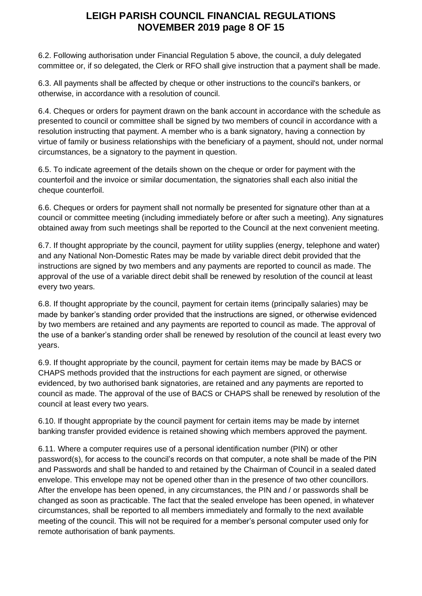### **LEIGH PARISH COUNCIL FINANCIAL REGULATIONS NOVEMBER 2019 page 8 OF 15**

6.2. Following authorisation under Financial Regulation 5 above, the council, a duly delegated committee or, if so delegated, the Clerk or RFO shall give instruction that a payment shall be made.

6.3. All payments shall be affected by cheque or other instructions to the council's bankers, or otherwise, in accordance with a resolution of council.

6.4. Cheques or orders for payment drawn on the bank account in accordance with the schedule as presented to council or committee shall be signed by two members of council in accordance with a resolution instructing that payment. A member who is a bank signatory, having a connection by virtue of family or business relationships with the beneficiary of a payment, should not, under normal circumstances, be a signatory to the payment in question.

6.5. To indicate agreement of the details shown on the cheque or order for payment with the counterfoil and the invoice or similar documentation, the signatories shall each also initial the cheque counterfoil.

6.6. Cheques or orders for payment shall not normally be presented for signature other than at a council or committee meeting (including immediately before or after such a meeting). Any signatures obtained away from such meetings shall be reported to the Council at the next convenient meeting.

6.7. If thought appropriate by the council, payment for utility supplies (energy, telephone and water) and any National Non-Domestic Rates may be made by variable direct debit provided that the instructions are signed by two members and any payments are reported to council as made. The approval of the use of a variable direct debit shall be renewed by resolution of the council at least every two years.

6.8. If thought appropriate by the council, payment for certain items (principally salaries) may be made by banker's standing order provided that the instructions are signed, or otherwise evidenced by two members are retained and any payments are reported to council as made. The approval of the use of a banker's standing order shall be renewed by resolution of the council at least every two years.

6.9. If thought appropriate by the council, payment for certain items may be made by BACS or CHAPS methods provided that the instructions for each payment are signed, or otherwise evidenced, by two authorised bank signatories, are retained and any payments are reported to council as made. The approval of the use of BACS or CHAPS shall be renewed by resolution of the council at least every two years.

6.10. If thought appropriate by the council payment for certain items may be made by internet banking transfer provided evidence is retained showing which members approved the payment.

6.11. Where a computer requires use of a personal identification number (PIN) or other password(s), for access to the council's records on that computer, a note shall be made of the PIN and Passwords and shall be handed to and retained by the Chairman of Council in a sealed dated envelope. This envelope may not be opened other than in the presence of two other councillors. After the envelope has been opened, in any circumstances, the PIN and / or passwords shall be changed as soon as practicable. The fact that the sealed envelope has been opened, in whatever circumstances, shall be reported to all members immediately and formally to the next available meeting of the council. This will not be required for a member's personal computer used only for remote authorisation of bank payments.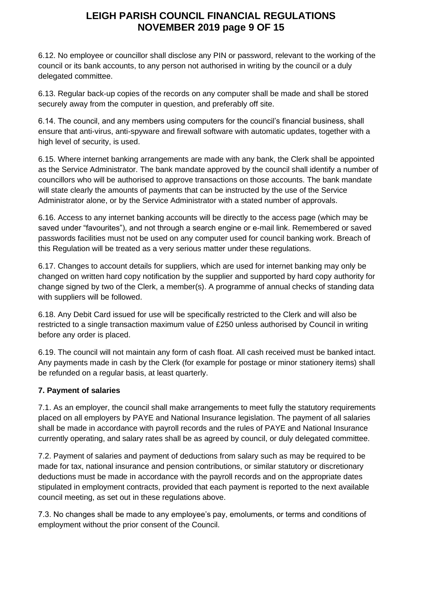# **LEIGH PARISH COUNCIL FINANCIAL REGULATIONS NOVEMBER 2019 page 9 OF 15**

6.12. No employee or councillor shall disclose any PIN or password, relevant to the working of the council or its bank accounts, to any person not authorised in writing by the council or a duly delegated committee.

6.13. Regular back-up copies of the records on any computer shall be made and shall be stored securely away from the computer in question, and preferably off site.

6.14. The council, and any members using computers for the council's financial business, shall ensure that anti-virus, anti-spyware and firewall software with automatic updates, together with a high level of security, is used.

6.15. Where internet banking arrangements are made with any bank, the Clerk shall be appointed as the Service Administrator. The bank mandate approved by the council shall identify a number of councillors who will be authorised to approve transactions on those accounts. The bank mandate will state clearly the amounts of payments that can be instructed by the use of the Service Administrator alone, or by the Service Administrator with a stated number of approvals.

6.16. Access to any internet banking accounts will be directly to the access page (which may be saved under "favourites"), and not through a search engine or e-mail link. Remembered or saved passwords facilities must not be used on any computer used for council banking work. Breach of this Regulation will be treated as a very serious matter under these regulations.

6.17. Changes to account details for suppliers, which are used for internet banking may only be changed on written hard copy notification by the supplier and supported by hard copy authority for change signed by two of the Clerk, a member(s). A programme of annual checks of standing data with suppliers will be followed.

6.18. Any Debit Card issued for use will be specifically restricted to the Clerk and will also be restricted to a single transaction maximum value of £250 unless authorised by Council in writing before any order is placed.

6.19. The council will not maintain any form of cash float. All cash received must be banked intact. Any payments made in cash by the Clerk (for example for postage or minor stationery items) shall be refunded on a regular basis, at least quarterly.

### **7. Payment of salaries**

7.1. As an employer, the council shall make arrangements to meet fully the statutory requirements placed on all employers by PAYE and National Insurance legislation. The payment of all salaries shall be made in accordance with payroll records and the rules of PAYE and National Insurance currently operating, and salary rates shall be as agreed by council, or duly delegated committee.

7.2. Payment of salaries and payment of deductions from salary such as may be required to be made for tax, national insurance and pension contributions, or similar statutory or discretionary deductions must be made in accordance with the payroll records and on the appropriate dates stipulated in employment contracts, provided that each payment is reported to the next available council meeting, as set out in these regulations above.

7.3. No changes shall be made to any employee's pay, emoluments, or terms and conditions of employment without the prior consent of the Council.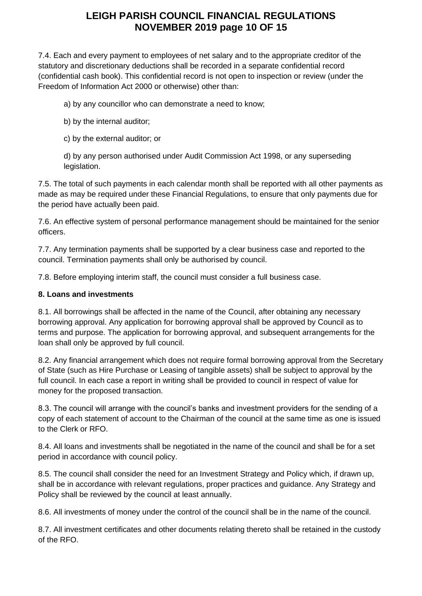# **LEIGH PARISH COUNCIL FINANCIAL REGULATIONS NOVEMBER 2019 page 10 OF 15**

7.4. Each and every payment to employees of net salary and to the appropriate creditor of the statutory and discretionary deductions shall be recorded in a separate confidential record (confidential cash book). This confidential record is not open to inspection or review (under the Freedom of Information Act 2000 or otherwise) other than:

a) by any councillor who can demonstrate a need to know;

- b) by the internal auditor;
- c) by the external auditor; or

d) by any person authorised under Audit Commission Act 1998, or any superseding legislation.

7.5. The total of such payments in each calendar month shall be reported with all other payments as made as may be required under these Financial Regulations, to ensure that only payments due for the period have actually been paid.

7.6. An effective system of personal performance management should be maintained for the senior officers.

7.7. Any termination payments shall be supported by a clear business case and reported to the council. Termination payments shall only be authorised by council.

7.8. Before employing interim staff, the council must consider a full business case.

#### **8. Loans and investments**

8.1. All borrowings shall be affected in the name of the Council, after obtaining any necessary borrowing approval. Any application for borrowing approval shall be approved by Council as to terms and purpose. The application for borrowing approval, and subsequent arrangements for the loan shall only be approved by full council.

8.2. Any financial arrangement which does not require formal borrowing approval from the Secretary of State (such as Hire Purchase or Leasing of tangible assets) shall be subject to approval by the full council. In each case a report in writing shall be provided to council in respect of value for money for the proposed transaction.

8.3. The council will arrange with the council's banks and investment providers for the sending of a copy of each statement of account to the Chairman of the council at the same time as one is issued to the Clerk or RFO.

8.4. All loans and investments shall be negotiated in the name of the council and shall be for a set period in accordance with council policy.

8.5. The council shall consider the need for an Investment Strategy and Policy which, if drawn up, shall be in accordance with relevant regulations, proper practices and guidance. Any Strategy and Policy shall be reviewed by the council at least annually.

8.6. All investments of money under the control of the council shall be in the name of the council.

8.7. All investment certificates and other documents relating thereto shall be retained in the custody of the RFO.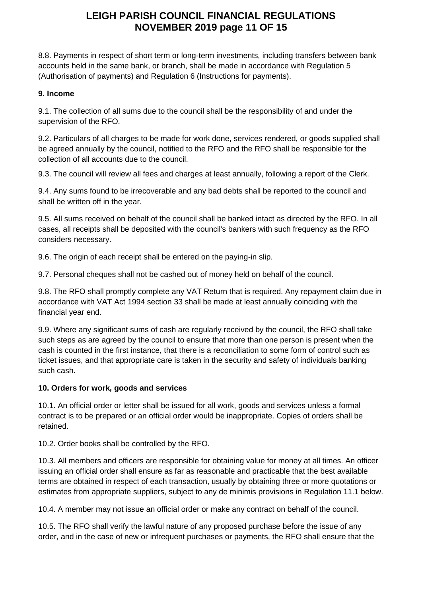## **LEIGH PARISH COUNCIL FINANCIAL REGULATIONS NOVEMBER 2019 page 11 OF 15**

8.8. Payments in respect of short term or long-term investments, including transfers between bank accounts held in the same bank, or branch, shall be made in accordance with Regulation 5 (Authorisation of payments) and Regulation 6 (Instructions for payments).

#### **9. Income**

9.1. The collection of all sums due to the council shall be the responsibility of and under the supervision of the RFO.

9.2. Particulars of all charges to be made for work done, services rendered, or goods supplied shall be agreed annually by the council, notified to the RFO and the RFO shall be responsible for the collection of all accounts due to the council.

9.3. The council will review all fees and charges at least annually, following a report of the Clerk.

9.4. Any sums found to be irrecoverable and any bad debts shall be reported to the council and shall be written off in the year.

9.5. All sums received on behalf of the council shall be banked intact as directed by the RFO. In all cases, all receipts shall be deposited with the council's bankers with such frequency as the RFO considers necessary.

9.6. The origin of each receipt shall be entered on the paying-in slip.

9.7. Personal cheques shall not be cashed out of money held on behalf of the council.

9.8. The RFO shall promptly complete any VAT Return that is required. Any repayment claim due in accordance with VAT Act 1994 section 33 shall be made at least annually coinciding with the financial year end.

9.9. Where any significant sums of cash are regularly received by the council, the RFO shall take such steps as are agreed by the council to ensure that more than one person is present when the cash is counted in the first instance, that there is a reconciliation to some form of control such as ticket issues, and that appropriate care is taken in the security and safety of individuals banking such cash.

#### **10. Orders for work, goods and services**

10.1. An official order or letter shall be issued for all work, goods and services unless a formal contract is to be prepared or an official order would be inappropriate. Copies of orders shall be retained.

10.2. Order books shall be controlled by the RFO.

10.3. All members and officers are responsible for obtaining value for money at all times. An officer issuing an official order shall ensure as far as reasonable and practicable that the best available terms are obtained in respect of each transaction, usually by obtaining three or more quotations or estimates from appropriate suppliers, subject to any de minimis provisions in Regulation 11.1 below.

10.4. A member may not issue an official order or make any contract on behalf of the council.

10.5. The RFO shall verify the lawful nature of any proposed purchase before the issue of any order, and in the case of new or infrequent purchases or payments, the RFO shall ensure that the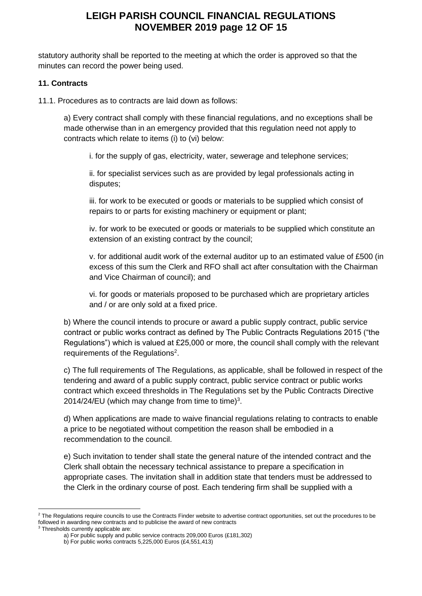### **LEIGH PARISH COUNCIL FINANCIAL REGULATIONS NOVEMBER 2019 page 12 OF 15**

statutory authority shall be reported to the meeting at which the order is approved so that the minutes can record the power being used.

#### **11. Contracts**

11.1. Procedures as to contracts are laid down as follows:

a) Every contract shall comply with these financial regulations, and no exceptions shall be made otherwise than in an emergency provided that this regulation need not apply to contracts which relate to items (i) to (vi) below:

i. for the supply of gas, electricity, water, sewerage and telephone services;

ii. for specialist services such as are provided by legal professionals acting in disputes;

iii. for work to be executed or goods or materials to be supplied which consist of repairs to or parts for existing machinery or equipment or plant;

iv. for work to be executed or goods or materials to be supplied which constitute an extension of an existing contract by the council;

v. for additional audit work of the external auditor up to an estimated value of £500 (in excess of this sum the Clerk and RFO shall act after consultation with the Chairman and Vice Chairman of council); and

vi. for goods or materials proposed to be purchased which are proprietary articles and / or are only sold at a fixed price.

b) Where the council intends to procure or award a public supply contract, public service contract or public works contract as defined by The Public Contracts Regulations 2015 ("the Regulations") which is valued at £25,000 or more, the council shall comply with the relevant requirements of the Regulations<sup>2</sup>.

c) The full requirements of The Regulations, as applicable, shall be followed in respect of the tendering and award of a public supply contract, public service contract or public works contract which exceed thresholds in The Regulations set by the Public Contracts Directive 2014/24/EU (which may change from time to time) $3$ .

d) When applications are made to waive financial regulations relating to contracts to enable a price to be negotiated without competition the reason shall be embodied in a recommendation to the council.

e) Such invitation to tender shall state the general nature of the intended contract and the Clerk shall obtain the necessary technical assistance to prepare a specification in appropriate cases. The invitation shall in addition state that tenders must be addressed to the Clerk in the ordinary course of post. Each tendering firm shall be supplied with a

<sup>&</sup>lt;sup>2</sup> The Regulations require councils to use the Contracts Finder website to advertise contract opportunities, set out the procedures to be followed in awarding new contracts and to publicise the award of new contracts

<sup>&</sup>lt;sup>3</sup> Thresholds currently applicable are:

a) For public supply and public service contracts 209,000 Euros (£181,302)

b) For public works contracts 5,225,000 Euros (£4,551,413)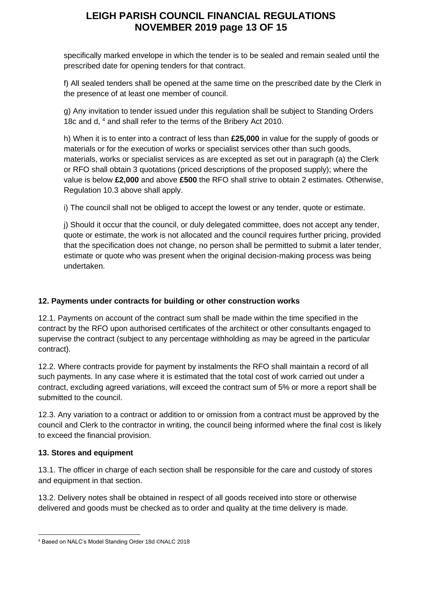# **LEIGH PARISH COUNCIL FINANCIAL REGULATIONS NOVEMBER 2019 page 13 OF 15**

specifically marked envelope in which the tender is to be sealed and remain sealed until the prescribed date for opening tenders for that contract.

f) All sealed tenders shall be opened at the same time on the prescribed date by the Clerk in the presence of at least one member of council.

g) Any invitation to tender issued under this regulation shall be subject to Standing Orders 18c and d, <sup>4</sup> and shall refer to the terms of the Bribery Act 2010.

h) When it is to enter into a contract of less than **£25,000** in value for the supply of goods or materials or for the execution of works or specialist services other than such goods, materials, works or specialist services as are excepted as set out in paragraph (a) the Clerk or RFO shall obtain 3 quotations (priced descriptions of the proposed supply); where the value is below **£2,000** and above **£500** the RFO shall strive to obtain 2 estimates. Otherwise, Regulation 10.3 above shall apply.

i) The council shall not be obliged to accept the lowest or any tender, quote or estimate.

j) Should it occur that the council, or duly delegated committee, does not accept any tender, quote or estimate, the work is not allocated and the council requires further pricing, provided that the specification does not change, no person shall be permitted to submit a later tender, estimate or quote who was present when the original decision-making process was being undertaken.

#### **12. Payments under contracts for building or other construction works**

12.1. Payments on account of the contract sum shall be made within the time specified in the contract by the RFO upon authorised certificates of the architect or other consultants engaged to supervise the contract (subject to any percentage withholding as may be agreed in the particular contract).

12.2. Where contracts provide for payment by instalments the RFO shall maintain a record of all such payments. In any case where it is estimated that the total cost of work carried out under a contract, excluding agreed variations, will exceed the contract sum of 5% or more a report shall be submitted to the council.

12.3. Any variation to a contract or addition to or omission from a contract must be approved by the council and Clerk to the contractor in writing, the council being informed where the final cost is likely to exceed the financial provision.

#### **13. Stores and equipment**

13.1. The officer in charge of each section shall be responsible for the care and custody of stores and equipment in that section.

13.2. Delivery notes shall be obtained in respect of all goods received into store or otherwise delivered and goods must be checked as to order and quality at the time delivery is made.

<sup>4</sup> Based on NALC's Model Standing Order 18d ©NALC 2018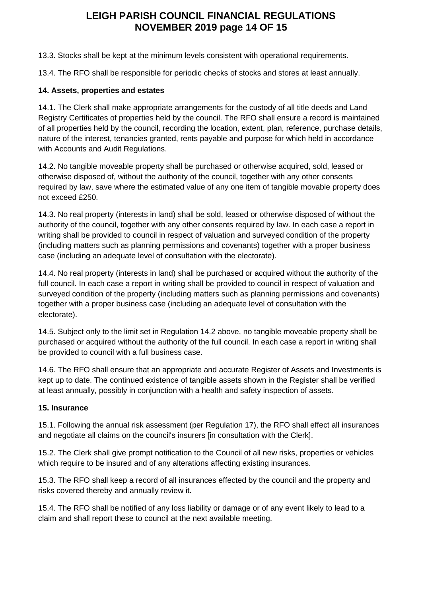## **LEIGH PARISH COUNCIL FINANCIAL REGULATIONS NOVEMBER 2019 page 14 OF 15**

13.3. Stocks shall be kept at the minimum levels consistent with operational requirements.

13.4. The RFO shall be responsible for periodic checks of stocks and stores at least annually.

#### **14. Assets, properties and estates**

14.1. The Clerk shall make appropriate arrangements for the custody of all title deeds and Land Registry Certificates of properties held by the council. The RFO shall ensure a record is maintained of all properties held by the council, recording the location, extent, plan, reference, purchase details, nature of the interest, tenancies granted, rents payable and purpose for which held in accordance with Accounts and Audit Regulations.

14.2. No tangible moveable property shall be purchased or otherwise acquired, sold, leased or otherwise disposed of, without the authority of the council, together with any other consents required by law, save where the estimated value of any one item of tangible movable property does not exceed £250.

14.3. No real property (interests in land) shall be sold, leased or otherwise disposed of without the authority of the council, together with any other consents required by law. In each case a report in writing shall be provided to council in respect of valuation and surveyed condition of the property (including matters such as planning permissions and covenants) together with a proper business case (including an adequate level of consultation with the electorate).

14.4. No real property (interests in land) shall be purchased or acquired without the authority of the full council. In each case a report in writing shall be provided to council in respect of valuation and surveyed condition of the property (including matters such as planning permissions and covenants) together with a proper business case (including an adequate level of consultation with the electorate).

14.5. Subject only to the limit set in Regulation 14.2 above, no tangible moveable property shall be purchased or acquired without the authority of the full council. In each case a report in writing shall be provided to council with a full business case.

14.6. The RFO shall ensure that an appropriate and accurate Register of Assets and Investments is kept up to date. The continued existence of tangible assets shown in the Register shall be verified at least annually, possibly in conjunction with a health and safety inspection of assets.

#### **15. Insurance**

15.1. Following the annual risk assessment (per Regulation 17), the RFO shall effect all insurances and negotiate all claims on the council's insurers [in consultation with the Clerk].

15.2. The Clerk shall give prompt notification to the Council of all new risks, properties or vehicles which require to be insured and of any alterations affecting existing insurances.

15.3. The RFO shall keep a record of all insurances effected by the council and the property and risks covered thereby and annually review it.

15.4. The RFO shall be notified of any loss liability or damage or of any event likely to lead to a claim and shall report these to council at the next available meeting.